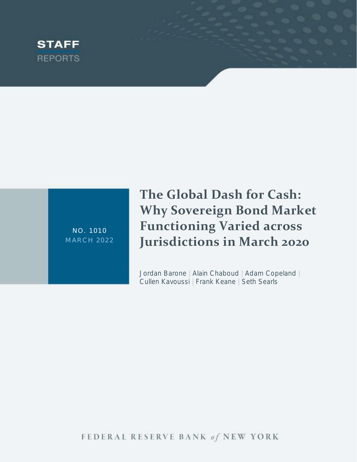

NO. 1010 **MARCH 2022**  **The Global Dash for Cash: Why Sovereign Bond Market Functioning Varied across Jurisdictions in March 2020**

Jordan Barone | Alain Chaboud | Adam Copeland | Cullen Kavoussi | Frank Keane | Seth Searls

FEDERAL RESERVE BANK of NEW YORK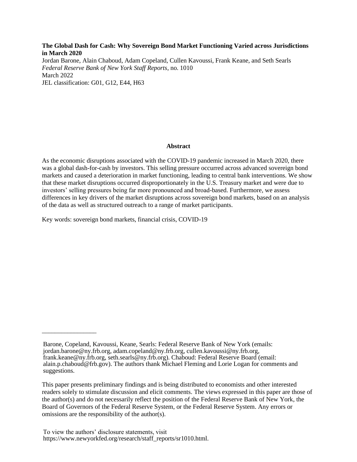**The Global Dash for Cash: Why Sovereign Bond Market Functioning Varied across Jurisdictions in March 2020** Jordan Barone, Alain Chaboud, Adam Copeland, Cullen Kavoussi, Frank Keane, and Seth Searls *Federal Reserve Bank of New York Staff Reports*, no. 1010 March 2022 JEL classification: G01, G12, E44, H63

#### **Abstract**

As the economic disruptions associated with the COVID-19 pandemic increased in March 2020, there was a global dash-for-cash by investors. This selling pressure occurred across advanced sovereign bond markets and caused a deterioration in market functioning, leading to central bank interventions. We show that these market disruptions occurred disproportionately in the U.S. Treasury market and were due to investors' selling pressures being far more pronounced and broad-based. Furthermore, we assess differences in key drivers of the market disruptions across sovereign bond markets, based on an analysis of the data as well as structured outreach to a range of market participants.

Key words: sovereign bond markets, financial crisis, COVID-19

\_\_\_\_\_\_\_\_\_\_\_\_\_\_\_\_\_

Barone, Copeland, Kavoussi, Keane, Searls: Federal Reserve Bank of New York (emails: jordan.barone@ny.frb.org, adam.copeland@ny.frb.org, cullen.kavoussi@ny.frb.org, frank.keane@ny.frb.org, seth.searls@ny.frb.org). Chaboud: Federal Reserve Board (email: alain.p.chaboud@frb.gov). The authors thank Michael Fleming and Lorie Logan for comments and suggestions.

This paper presents preliminary findings and is being distributed to economists and other interested readers solely to stimulate discussion and elicit comments. The views expressed in this paper are those of the author(s) and do not necessarily reflect the position of the Federal Reserve Bank of New York, the Board of Governors of the Federal Reserve System, or the Federal Reserve System. Any errors or omissions are the responsibility of the author(s).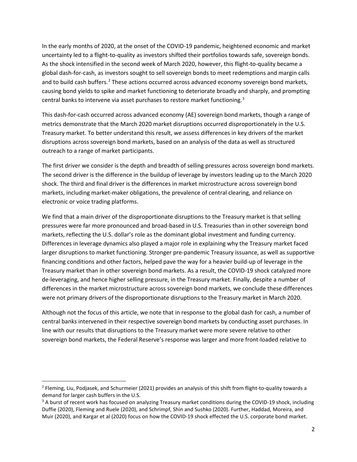In the early months of 2020, at the onset of the COVID-19 pandemic, heightened economic and market uncertainty led to a flight-to-quality as investors shifted their portfolios towards safe, sovereign bonds. As the shock intensified in the second week of March 2020, however, this flight-to-quality became a global dash-for-cash, as investors sought to sell sovereign bonds to meet redemptions and margin calls and to build cash buffers.<sup>2</sup> These actions occurred across advanced economy sovereign bond markets, causing bond yields to spike and market functioning to deteriorate broadly and sharply, and prompting central banks to intervene via asset purchases to restore market functioning.<sup>3</sup>

This dash-for-cash occurred across advanced economy (AE) sovereign bond markets, though a range of metrics demonstrate that the March 2020 market disruptions occurred disproportionately in the U.S. Treasury market. To better understand this result, we assess differences in key drivers of the market disruptions across sovereign bond markets, based on an analysis of the data as well as structured outreach to a range of market participants.

The first driver we consider is the depth and breadth of selling pressures across sovereign bond markets. The second driver is the difference in the buildup of leverage by investors leading up to the March 2020 shock. The third and final driver is the differences in market microstructure across sovereign bond markets, including market-maker obligations, the prevalence of central clearing, and reliance on electronic or voice trading platforms.

We find that a main driver of the disproportionate disruptions to the Treasury market is that selling pressures were far more pronounced and broad-based in U.S. Treasuries than in other sovereign bond markets, reflecting the U.S. dollar's role as the dominant global investment and funding currency. Differences in leverage dynamics also played a major role in explaining why the Treasury market faced larger disruptions to market functioning. Stronger pre-pandemic Treasury issuance, as well as supportive financing conditions and other factors, helped pave the way for a heavier build-up of leverage in the Treasury market than in other sovereign bond markets. As a result, the COVID-19 shock catalyzed more de-leveraging, and hence higher selling pressure, in the Treasury market. Finally, despite a number of differences in the market microstructure across sovereign bond markets, we conclude these differences were not primary drivers of the disproportionate disruptions to the Treasury market in March 2020.

Although not the focus of this article, we note that in response to the global dash for cash, a number of central banks intervened in their respective sovereign bond markets by conducting asset purchases. In line with our results that disruptions to the Treasury market were more severe relative to other sovereign bond markets, the Federal Reserve's response was larger and more front-loaded relative to

<sup>&</sup>lt;sup>2</sup> Fleming, Liu, Podjasek, and Schurmeier (2021) provides an analysis of this shift from flight-to-quality towards a demand for larger cash buffers in the U.S.

<sup>&</sup>lt;sup>3</sup> A burst of recent work has focused on analyzing Treasury market conditions during the COVID-19 shock, including Duffie (2020), Fleming and Ruele (2020), and Schrimpf, Shin and Sushko (2020). Further, Haddad, Moreira, and Muir (2020), and Kargar et al (2020) focus on how the COVID-19 shock effected the U.S. corporate bond market.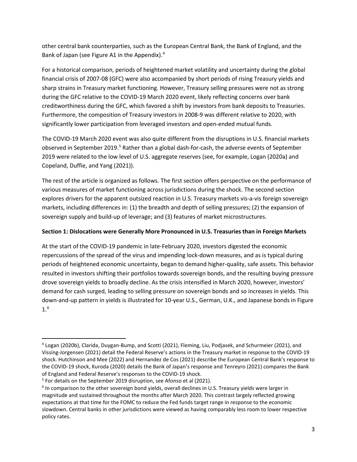other central bank counterparties, such as the European Central Bank, the Bank of England, and the Bank of Japan (see Figure A1 in the Appendix).<sup>4</sup>

For a historical comparison, periods of heightened market volatility and uncertainty during the global financial crisis of 2007-08 (GFC) were also accompanied by short periods of rising Treasury yields and sharp strains in Treasury market functioning. However, Treasury selling pressures were not as strong during the GFC relative to the COVID-19 March 2020 event, likely reflecting concerns over bank creditworthiness during the GFC, which favored a shift by investors from bank deposits to Treasuries. Furthermore, the composition of Treasury investors in 2008-9 was different relative to 2020, with significantly lower participation from leveraged investors and open-ended mutual funds.

The COVID-19 March 2020 event was also quite different from the disruptions in U.S. financial markets observed in September 2019.<sup>5</sup> Rather than a global dash-for-cash, the adverse events of September 2019 were related to the low level of U.S. aggregate reserves (see, for example, Logan (2020a) and Copeland, Duffie, and Yang (2021)).

The rest of the article is organized as follows. The first section offers perspective on the performance of various measures of market functioning across jurisdictions during the shock. The second section explores drivers for the apparent outsized reaction in U.S. Treasury markets vis-a-vis foreign sovereign markets, including differences in: (1) the breadth and depth of selling pressures; (2) the expansion of sovereign supply and build-up of leverage; and (3) features of market microstructures.

## **Section 1: Dislocations were Generally More Pronounced in U.S. Treasuries than in Foreign Markets**

At the start of the COVID-19 pandemic in late-February 2020, investors digested the economic repercussions of the spread of the virus and impending lock-down measures, and as is typical during periods of heightened economic uncertainty, began to demand higher-quality, safe assets. This behavior resulted in investors shifting their portfolios towards sovereign bonds, and the resulting buying pressure drove sovereign yields to broadly decline. As the crisis intensified in March 2020, however, investors' demand for cash surged, leading to selling pressure on sovereign bonds and so increases in yields. This down-and-up pattern in yields is illustrated for 10-year U.S., German, U.K., and Japanese bonds in Figure 1.6

<sup>4</sup> Logan (2020b), Clarida, Duygan-Bump, and Scotti (2021), Fleming, Liu, Podjasek, and Schurmeier (2021), and Vissing-Jorgensen (2021) detail the Federal Reserve's actions in the Treasury market in response to the COVID-19 shock. Hutchinson and Mee (2022) and Hernandez de Cos (2021) describe the European Central Bank's response to the COVID-19 shock, Kuroda (2020) details the Bank of Japan's response and Tenreyro (2021) compares the Bank of England and Federal Reserve's responses to the COVID-19 shock.

<sup>&</sup>lt;sup>5</sup> For details on the September 2019 disruption, see Afonso et al (2021).

 $6$  In comparison to the other sovereign bond yields, overall declines in U.S. Treasury yields were larger in magnitude and sustained throughout the months after March 2020. This contrast largely reflected growing expectations at that time for the FOMC to reduce the Fed funds target range in response to the economic slowdown. Central banks in other jurisdictions were viewed as having comparably less room to lower respective policy rates.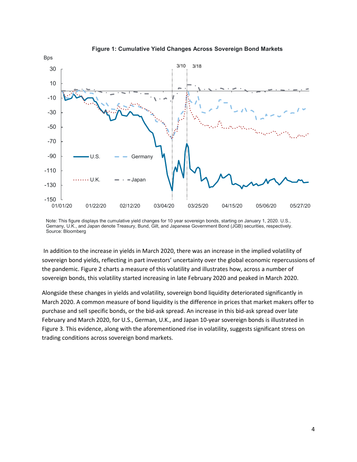

#### **Figure 1: Cumulative Yield Changes Across Sovereign Bond Markets**

Note: This figure displays the cumulative yield changes for 10 year sovereign bonds, starting on January 1, 2020. U.S., Gernany, U.K., and Japan denote Treasury, Bund, Gilt, and Japanese Government Bond (JGB) securities, respectively. Source: Bloomberg

In addition to the increase in yields in March 2020, there was an increase in the implied volatility of sovereign bond yields, reflecting in part investors' uncertainty over the global economic repercussions of the pandemic. Figure 2 charts a measure of this volatility and illustrates how, across a number of sovereign bonds, this volatility started increasing in late February 2020 and peaked in March 2020.

Alongside these changes in yields and volatility, sovereign bond liquidity deteriorated significantly in March 2020. A common measure of bond liquidity is the difference in prices that market makers offer to purchase and sell specific bonds, or the bid-ask spread. An increase in this bid-ask spread over late February and March 2020, for U.S., German, U.K., and Japan 10-year sovereign bonds is illustrated in Figure 3. This evidence, along with the aforementioned rise in volatility, suggests significant stress on trading conditions across sovereign bond markets.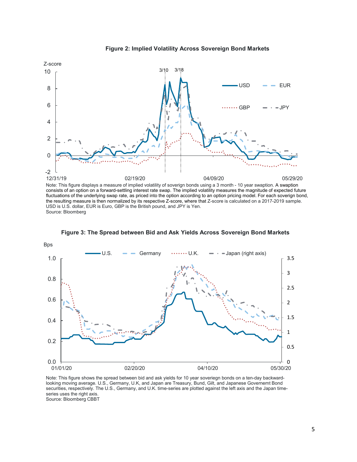

**Figure 2: Implied Volatility Across Sovereign Bond Markets**

consists of an option on a forward-settling interest rate swap. The implied volatility measures the magnitude of expected future fluctuations of the underlying swap rate, as priced into the option according to an option pricing model. For each soverign bond, the resulting measure is then normalized by its respective Z-score, where that Z-score is calculated on a 2017-2019 sample. USD is U.S. dollar, EUR is Euro, GBP is the British pound, and JPY is Yen. Source: Bloomberg



**Figure 3: The Spread between Bid and Ask Yields Across Sovereign Bond Markets**

Note: This figure shows the spread between bid and ask yields for 10 year soveriegn bonds on a ten-day backwardlooking moving average. U.S., Germany, U.K, and Japan are Treasury, Bund, Gilt, and Japanese Governemt Bond securities, respectively. The U.S., Germany, and U.K. time-series are plotted against the left axis and the Japan timeseries uses the right axis. Source: Bloomberg CBBT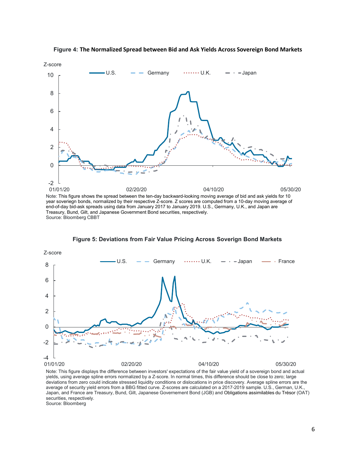

**Figure 4: The Normalized Spread between Bid and Ask Yields Across Sovereign Bond Markets**

year soveriegn bonds, normalized by their respective Z-score. Z scores are computed from a 10-day moving average of end-of-day bid-ask spreads using data from January 2017 to January 2019. U.S., Germany, U.K., and Japan are Treasury, Bund, Gilt, and Japanese Government Bond securities, respectively. Source: Bloomberg CBBT



**Figure 5: Deviations from Fair Value Pricing Across Soverign Bond Markets**

Note: This figure displays the difference between investors' expectations of the fair value yield of a sovereign bond and actual yields, using average spline errors normalized by a Z-score. In normal times, this difference should be close to zero; large deviations from zero could indicate stressed liquidity conditions or dislocations in price discovery. Average spline errors are the average of security yield errors from a BBG fitted curve. Z-scores are calculated on a 2017-2019 sample. U.S., German, U.K., Japan, and France are Treasury, Bund, Gilt, Japanese Governement Bond (JGB) and Obligations assimilables du Trésor (OAT) securities, respectively.

Source: Bloomberg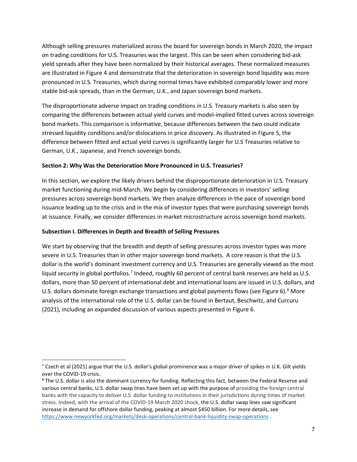Although selling pressures materialized across the board for sovereign bonds in March 2020, the impact on trading conditions for U.S. Treasuries was the largest. This can be seen when considering bid-ask yield spreads after they have been normalized by their historical averages. These normalized measures are illustrated in Figure 4 and demonstrate that the deterioration in sovereign bond liquidity was more pronounced in U.S. Treasuries, which during normal times have exhibited comparably lower and more stable bid-ask spreads, than in the German, U.K., and Japan sovereign bond markets.

The disproportionate adverse impact on trading conditions in U.S. Treasury markets is also seen by comparing the differences between actual yield curves and model-implied fitted curves across sovereign bond markets. This comparison is informative, because differences between the two could indicate stressed liquidity conditions and/or dislocations in price discovery. As illustrated in Figure 5, the difference between fitted and actual yield curves is significantly larger for U.S Treasuries relative to German, U.K., Japanese, and French sovereign bonds.

## **Section 2: Why Was the Deterioration More Pronounced in U.S. Treasuries?**

In this section, we explore the likely drivers behind the disproportionate deterioration in U.S. Treasury market functioning during mid-March. We begin by considering differences in investors' selling pressures across sovereign bond markets. We then analyze differences in the pace of sovereign bond issuance leading up to the crisis and in the mix of investor types that were purchasing sovereign bonds at issuance. Finally, we consider differences in market microstructure across sovereign bond markets.

## **Subsection I. Differences in Depth and Breadth of Selling Pressures**

We start by observing that the breadth and depth of selling pressures across investor types was more severe in U.S. Treasuries than in other major sovereign bond markets. A core reason is that the U.S. dollar is the world's dominant investment currency and U.S. Treasuries are generally viewed as the most liquid security in global portfolios.<sup>7</sup> Indeed, roughly 60 percent of central bank reserves are held as U.S. dollars, more than 50 percent of international debt and international loans are issued in U.S. dollars, and U.S. dollars dominate foreign exchange transactions and global payments flows (see Figure 6).<sup>8</sup> More analysis of the international role of the U.S. dollar can be found in Bertaut, Beschwitz, and Curcuru (2021), including an expanded discussion of various aspects presented in Figure 6.

<sup>&</sup>lt;sup>7</sup> Czech et al (2021) argue that the U.S. dollar's global prominence was a major driver of spikes in U.K. Gilt yields over the COVID-19 crisis.<br><sup>8</sup> The U.S. dollar is also the dominant currency for funding. Reflecting this fact, between the Federal Reserve and

various central banks, U.S. dollar swap lines have been set up with the purpose of providing the foreign central banks with the capacity to deliver U.S. dollar funding to institutions in their jurisdictions during times of market stress. Indeed, with the arrival of the COVID-19 March 2020 shock, the U.S. dollar swap lines saw significant increase in demand for offshore dollar funding, peaking at almost \$450 billion. For more details, see https://www.newyorkfed.org/markets/desk-operations/central-bank-liquidity-swap-operations .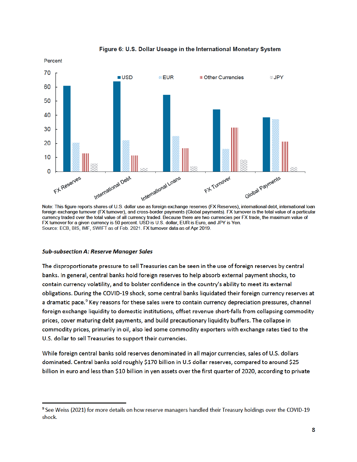

Figure 6: U.S. Dollar Useage in the International Monetary System

Note: This figure reports shares of U.S. dollar use as foreign exchange reserves (FX Reserves), international debt, international loan foreign exchange turnover (FX turnover), and cross-border payments (Global payments). FX turnover is the total value of a particular currency traded over the total value of all currency traded. Because there are two currencies per FX trade, the maximum value of FX turnover for a given currency is 50 percent. USD is U.S. dollar, EUR is Euro, and JPY is Yen. Source: ECB, BIS, IMF, SWIFT as of Feb. 2021. FX turnover data as of Apr 2019.

#### **Sub-subsection A: Reserve Manager Sales**

The disproportionate pressure to sell Treasuries can be seen in the use of foreign reserves by central banks. In general, central banks hold foreign reserves to help absorb external payment shocks, to contain currency volatility, and to bolster confidence in the country's ability to meet its external obligations. During the COVID-19 shock, some central banks liquidated their foreign currency reserves at a dramatic pace.<sup>9</sup> Key reasons for these sales were to contain currency depreciation pressures, channel foreign exchange liquidity to domestic institutions, offset revenue short-falls from collapsing commodity prices, cover maturing debt payments, and build precautionary liquidity buffers. The collapse in commodity prices, primarily in oil, also led some commodity exporters with exchange rates tied to the U.S. dollar to sell Treasuries to support their currencies.

While foreign central banks sold reserves denominated in all major currencies, sales of U.S. dollars dominated. Central banks sold roughly \$170 billion in U.S dollar reserves, compared to around \$25 billion in euro and less than \$10 billion in yen assets over the first quarter of 2020, according to private

<sup>&</sup>lt;sup>9</sup> See Weiss (2021) for more details on how reserve managers handled their Treasury holdings over the COVID-19 shock.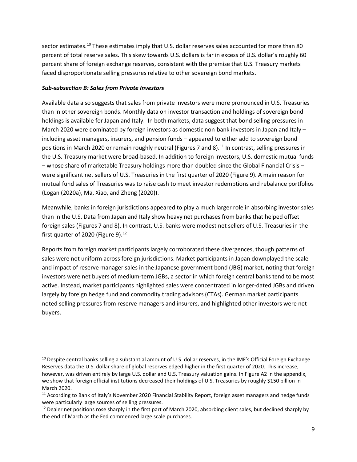sector estimates.<sup>10</sup> These estimates imply that U.S. dollar reserves sales accounted for more than 80 percent of total reserve sales. This skew towards U.S. dollars is far in excess of U.S. dollar's roughly 60 percent share of foreign exchange reserves, consistent with the premise that U.S. Treasury markets faced disproportionate selling pressures relative to other sovereign bond markets.

## *Sub-subsection B: Sales from Private Investors*

Available data also suggests that sales from private investors were more pronounced in U.S. Treasuries than in other sovereign bonds. Monthly data on investor transaction and holdings of sovereign bond holdings is available for Japan and Italy. In both markets, data suggest that bond selling pressures in March 2020 were dominated by foreign investors as domestic non-bank investors in Japan and Italy including asset managers, insurers, and pension funds – appeared to either add to sovereign bond positions in March 2020 or remain roughly neutral (Figures 7 and 8).<sup>11</sup> In contrast, selling pressures in the U.S. Treasury market were broad-based. In addition to foreign investors, U.S. domestic mutual funds – whose share of marketable Treasury holdings more than doubled since the Global Financial Crisis – were significant net sellers of U.S. Treasuries in the first quarter of 2020 (Figure 9). A main reason for mutual fund sales of Treasuries was to raise cash to meet investor redemptions and rebalance portfolios (Logan (2020a), Ma, Xiao, and Zheng (2020)).

Meanwhile, banks in foreign jurisdictions appeared to play a much larger role in absorbing investor sales than in the U.S. Data from Japan and Italy show heavy net purchases from banks that helped offset foreign sales (Figures 7 and 8). In contrast, U.S. banks were modest net sellers of U.S. Treasuries in the first quarter of 2020 (Figure 9).<sup>12</sup>

Reports from foreign market participants largely corroborated these divergences, though patterns of sales were not uniform across foreign jurisdictions. Market participants in Japan downplayed the scale and impact of reserve manager sales in the Japanese government bond (JBG) market, noting that foreign investors were net buyers of medium-term JGBs, a sector in which foreign central banks tend to be most active. Instead, market participants highlighted sales were concentrated in longer-dated JGBs and driven largely by foreign hedge fund and commodity trading advisors (CTAs). German market participants noted selling pressures from reserve managers and insurers, and highlighted other investors were net buyers.

<sup>&</sup>lt;sup>10</sup> Despite central banks selling a substantial amount of U.S. dollar reserves, in the IMF's Official Foreign Exchange Reserves data the U.S. dollar share of global reserves edged higher in the first quarter of 2020. This increase, however, was driven entirely by large U.S. dollar and U.S. Treasury valuation gains. In Figure A2 in the appendix, we show that foreign official institutions decreased their holdings of U.S. Treasuries by roughly \$150 billion in March 2020.

<sup>&</sup>lt;sup>11</sup> According to Bank of Italy's November 2020 Financial Stability Report, foreign asset managers and hedge funds were particularly large sources of selling pressures.

 $12$  Dealer net positions rose sharply in the first part of March 2020, absorbing client sales, but declined sharply by the end of March as the Fed commenced large scale purchases.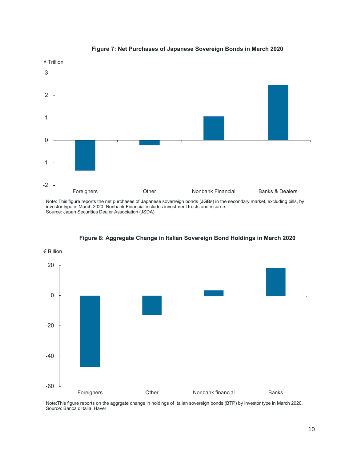

#### **Figure 7: Net Purchases of Japanese Sovereign Bonds in March 2020**

Note: This figure reports the net purchases of Japanese soverreign bonds (JGBs) in the secondary market, excluding bills, by investor type in March 2020. Nonbank Financial includes investment trusts and insurers. Source: Japan Securities Dealer Association (JSDA).



**Figure 8: Aggregate Change in Italian Sovereign Bond Holdings in March 2020**

Note:This figure reports on the aggrgate change in holdings of Italian sovereign bonds (BTP) by investor type in March 2020. Source: Banca d'Italia, Haver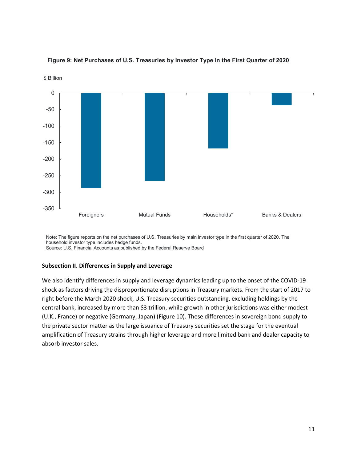

### **Figure 9: Net Purchases of U.S. Treasuries by Investor Type in the First Quarter of 2020**

Note: The figure reports on the net purchases of U.S. Treasuries by main investor type in the first quarter of 2020. The household investor type includes hedge funds.

#### Source: U.S. Financial Accounts as published by the Federal Reserve Board

#### **Subsection II. Differences in Supply and Leverage**

We also identify differences in supply and leverage dynamics leading up to the onset of the COVID-19 shock as factors driving the disproportionate disruptions in Treasury markets. From the start of 2017 to right before the March 2020 shock, U.S. Treasury securities outstanding, excluding holdings by the central bank, increased by more than \$3 trillion, while growth in other jurisdictions was either modest (U.K., France) or negative (Germany, Japan) (Figure 10). These differences in sovereign bond supply to the private sector matter as the large issuance of Treasury securities set the stage for the eventual amplification of Treasury strains through higher leverage and more limited bank and dealer capacity to absorb investor sales.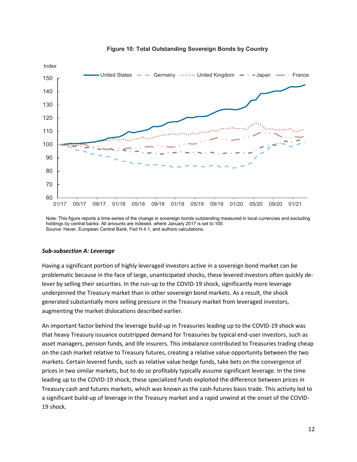

#### **Figure 10: Total Outstanding Sovereign Bonds by Country**

Note: This figure reports a time-series of the change in sovereign bonds outstanding measured in local currencies and excluding holdings by central banks. All amounts are indexed, where January 2017 is set to 100. Source: Haver, European Central Bank, Fed H.4.1, and authors calculations.

#### *Sub-subsection A: Leverage*

Having a significant portion of highly leveraged investors active in a sovereign bond market can be problematic because in the face of large, unanticipated shocks, these levered investors often quickly delever by selling their securities. In the run-up to the COVID-19 shock, significantly more leverage underpinned the Treasury market than in other sovereign bond markets. As a result, the shock generated substantially more selling pressure in the Treasury market from leveraged investors, augmenting the market dislocations described earlier.

An important factor behind the leverage build-up in Treasuries leading up to the COVID-19 shock was that heavy Treasury issuance outstripped demand for Treasuries by typical end-user investors, such as asset managers, pension funds, and life insurers. This imbalance contributed to Treasuries trading cheap on the cash market relative to Treasury futures, creating a relative value opportunity between the two markets. Certain levered funds, such as relative value hedge funds, take bets on the convergence of prices in two similar markets, but to do so profitably typically assume significant leverage. In the time leading up to the COVID-19 shock, these specialized funds exploited the difference between prices in Treasury cash and futures markets, which was known as the cash-futures basis trade. This activity led to a significant build-up of leverage in the Treasury market and a rapid unwind at the onset of the COVID-19 shock.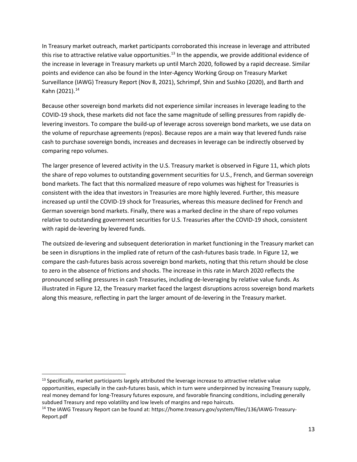In Treasury market outreach, market participants corroborated this increase in leverage and attributed this rise to attractive relative value opportunities.<sup>13</sup> In the appendix, we provide additional evidence of the increase in leverage in Treasury markets up until March 2020, followed by a rapid decrease. Similar points and evidence can also be found in the Inter-Agency Working Group on Treasury Market Surveillance (IAWG) Treasury Report (Nov 8, 2021), Schrimpf, Shin and Sushko (2020), and Barth and Kahn (2021).<sup>14</sup>

Because other sovereign bond markets did not experience similar increases in leverage leading to the COVID-19 shock, these markets did not face the same magnitude of selling pressures from rapidly delevering investors. To compare the build-up of leverage across sovereign bond markets, we use data on the volume of repurchase agreements (repos). Because repos are a main way that levered funds raise cash to purchase sovereign bonds, increases and decreases in leverage can be indirectly observed by comparing repo volumes.

The larger presence of levered activity in the U.S. Treasury market is observed in Figure 11, which plots the share of repo volumes to outstanding government securities for U.S., French, and German sovereign bond markets. The fact that this normalized measure of repo volumes was highest for Treasuries is consistent with the idea that investors in Treasuries are more highly levered. Further, this measure increased up until the COVID-19 shock for Treasuries, whereas this measure declined for French and German sovereign bond markets. Finally, there was a marked decline in the share of repo volumes relative to outstanding government securities for U.S. Treasuries after the COVID-19 shock, consistent with rapid de-levering by levered funds.

The outsized de-levering and subsequent deterioration in market functioning in the Treasury market can be seen in disruptions in the implied rate of return of the cash-futures basis trade. In Figure 12, we compare the cash-futures basis across sovereign bond markets, noting that this return should be close to zero in the absence of frictions and shocks. The increase in this rate in March 2020 reflects the pronounced selling pressures in cash Treasuries, including de-leveraging by relative value funds. As illustrated in Figure 12, the Treasury market faced the largest disruptions across sovereign bond markets along this measure, reflecting in part the larger amount of de-levering in the Treasury market.

 $13$  Specifically, market participants largely attributed the leverage increase to attractive relative value opportunities, especially in the cash-futures basis, which in turn were underpinned by increasing Treasury supply, real money demand for long-Treasury futures exposure, and favorable financing conditions, including generally subdued Treasury and repo volatility and low levels of margins and repo haircuts.

<sup>14</sup> The IAWG Treasury Report can be found at: https://home.treasury.gov/system/files/136/IAWG-Treasury-Report.pdf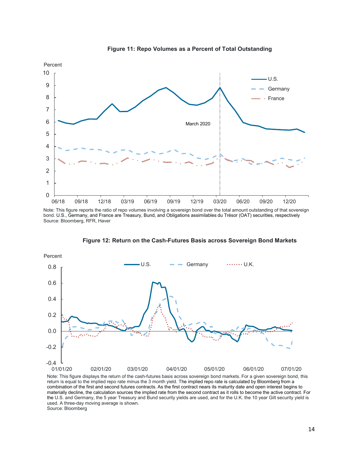

**Figure 11: Repo Volumes as a Percent of Total Outstanding**

Note: This figure reports the ratio of repo volumes involving a sovereign bond over the total amount outstanding of that sovereign bond. U.S., Germany, and France are Treasury, Bund, and Obligations assimilables du Trésor (OAT) securities, respectively Source: Bloomberg, RFR, Haver



**Figure 12: Return on the Cash-Futures Basis across Sovereign Bond Markets**

Note: This figure displays the return of the cash-futures basis across sovereign bond markets. For a given sovereign bond, this return is equal to the implied repo rate minus the 3 month yield. The implied repo rate is calculated by Bloomberg from a combination of the first and second futures contracts. As the first contract nears its maturity date and open interest begins to materially decline, the calculation sources the implied rate from the second contract as it rolls to become the active contract. For the U.S. and Germany, the 5 year Treasury and Bund security yields are used, and for the U.K. the 10 year Gilt security yield is used. A three-day moving average is shown. Source: Bloomberg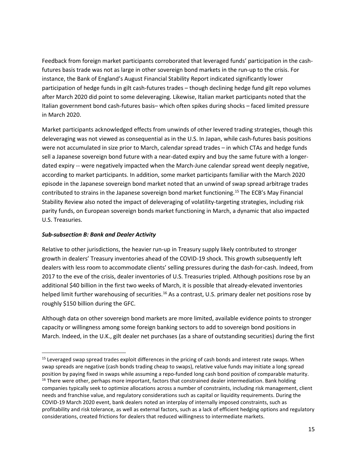Feedback from foreign market participants corroborated that leveraged funds' participation in the cashfutures basis trade was not as large in other sovereign bond markets in the run-up to the crisis. For instance, the Bank of England's August Financial Stability Report indicated significantly lower participation of hedge funds in gilt cash-futures trades – though declining hedge fund gilt repo volumes after March 2020 did point to some deleveraging. Likewise, Italian market participants noted that the Italian government bond cash-futures basis– which often spikes during shocks – faced limited pressure in March 2020.

Market participants acknowledged effects from unwinds of other levered trading strategies, though this deleveraging was not viewed as consequential as in the U.S. In Japan, while cash-futures basis positions were not accumulated in size prior to March, calendar spread trades – in which CTAs and hedge funds sell a Japanese sovereign bond future with a near-dated expiry and buy the same future with a longerdated expiry -- were negatively impacted when the March-June calendar spread went deeply negative, according to market participants. In addition, some market participants familiar with the March 2020 episode in the Japanese sovereign bond market noted that an unwind of swap spread arbitrage trades contributed to strains in the Japanese sovereign bond market functioning.<sup>15</sup> The ECB's May Financial Stability Review also noted the impact of deleveraging of volatility-targeting strategies, including risk parity funds, on European sovereign bonds market functioning in March, a dynamic that also impacted U.S. Treasuries.

## *Sub-subsection B: Bank and Dealer Activity*

Relative to other jurisdictions, the heavier run-up in Treasury supply likely contributed to stronger growth in dealers' Treasury inventories ahead of the COVID-19 shock. This growth subsequently left dealers with less room to accommodate clients' selling pressures during the dash-for-cash. Indeed, from 2017 to the eve of the crisis, dealer inventories of U.S. Treasuries tripled. Although positions rose by an additional \$40 billion in the first two weeks of March, it is possible that already-elevated inventories helped limit further warehousing of securities.<sup>16</sup> As a contrast, U.S. primary dealer net positions rose by roughly \$150 billion during the GFC.

Although data on other sovereign bond markets are more limited, available evidence points to stronger capacity or willingness among some foreign banking sectors to add to sovereign bond positions in March. Indeed, in the U.K., gilt dealer net purchases (as a share of outstanding securities) during the first

<sup>&</sup>lt;sup>15</sup> Leveraged swap spread trades exploit differences in the pricing of cash bonds and interest rate swaps. When swap spreads are negative (cash bonds trading cheap to swaps), relative value funds may initiate a long spread position by paying fixed in swaps while assuming a repo-funded long cash bond position of comparable maturity. <sup>16</sup> There were other, perhaps more important, factors that constrained dealer intermediation. Bank holding companies typically seek to optimize allocations across a number of constraints, including risk management, client needs and franchise value, and regulatory considerations such as capital or liquidity requirements. During the COVID-19 March 2020 event, bank dealers noted an interplay of internally imposed constraints, such as profitability and risk tolerance, as well as external factors, such as a lack of efficient hedging options and regulatory considerations, created frictions for dealers that reduced willingness to intermediate markets.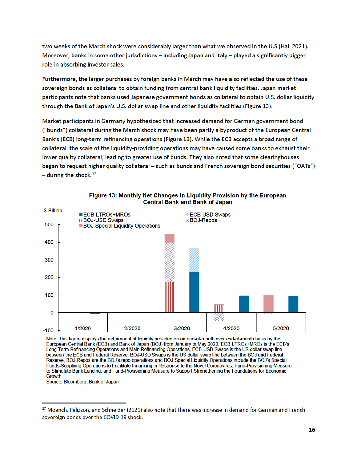two weeks of the March shock were considerably larger than what we observed in the U.S (Hall 2021). Moreover, banks in some other jurisdictions – including Japan and Italy – played a significantly bigger role in absorbing investor sales.

Furthermore, the larger purchases by foreign banks in March may have also reflected the use of these sovereign bonds as collateral to obtain funding from central bank liquidity facilities. Japan market participants note that banks used Japanese government bonds as collateral to obtain U.S. dollar liquidity through the Bank of Japan's U.S. dollar swap line and other liquidity facilities (Figure 13).

Market participants in Germany hypothesized that increased demand for German government bond ("bunds") collateral during the March shock may have been partly a byproduct of the European Central Bank's (ECB) long-term refinancing operations (Figure 13). While the ECB accepts a broad range of collateral, the scale of the liquidity-providing operations may have caused some banks to exhaust their lower quality collateral, leading to greater use of bunds. They also noted that some clearinghouses began to request higher quality collateral - such as bunds and French sovereign bond securities ("OATs")  $-$  during the shock.<sup>17</sup>



#### Figure 13: Monthly Net Changes in Liquidity Provision by the European **Central Bank and Bank of Japan**

Note: This figure displays the net amount of liquidity provided on an end-of-month over end-of-month basis by the European Central Bank (ECB) and Bank of Japan (BOJ) from January to May 2020. ECB-LTROs+MROs is the ECB's Long Term Refinancing Operations and Main Refinancing Operations, ECB-USD Swaps is the US dollar swap line between the ECB and Federal Reserve, BOJ-USD Swaps is the US dollar swap line between the BOJ and Federal Reserve, BOJ-Repos are the BOJ's repo operations and BOJ-Special Liquidity Operations include the BOJ's Special Funds-Supplying Operations to Facilitate Financing in Response to the Novel Coronavirus, Fund-Provisioning Measure to Stimulate Bank Lending, and Fund-Provisioning Measure to Support Strengthening the Foundations for Economic **Growth** 

Source: Bloomberg, Bank of Japan

<sup>&</sup>lt;sup>17</sup> Moench, Pelizzon, and Schneider (2021) also note that there was increase in demand for German and French sovereign bonds over the COVID-19 shock.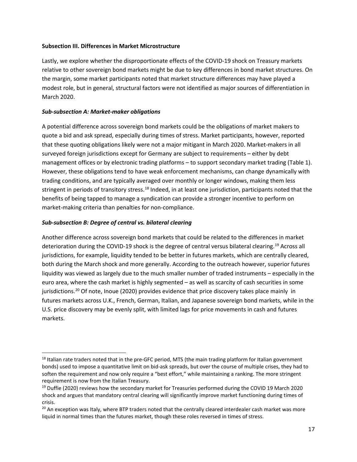## **Subsection III. Differences in Market Microstructure**

Lastly, we explore whether the disproportionate effects of the COVID-19 shock on Treasury markets relative to other sovereign bond markets might be due to key differences in bond market structures. On the margin, some market participants noted that market structure differences may have played a modest role, but in general, structural factors were not identified as major sources of differentiation in March 2020.

## *Sub-subsection A: Market-maker obligations*

A potential difference across sovereign bond markets could be the obligations of market makers to quote a bid and ask spread, especially during times of stress. Market participants, however, reported that these quoting obligations likely were not a major mitigant in March 2020. Market-makers in all surveyed foreign jurisdictions except for Germany are subject to requirements – either by debt management offices or by electronic trading platforms – to support secondary market trading (Table 1). However, these obligations tend to have weak enforcement mechanisms, can change dynamically with trading conditions, and are typically averaged over monthly or longer windows, making them less stringent in periods of transitory stress.<sup>18</sup> Indeed, in at least one jurisdiction, participants noted that the benefits of being tapped to manage a syndication can provide a stronger incentive to perform on market-making criteria than penalties for non-compliance.

## *Sub-subsection B: Degree of central vs. bilateral clearing*

Another difference across sovereign bond markets that could be related to the differences in market deterioration during the COVID-19 shock is the degree of central versus bilateral clearing.19 Across all jurisdictions, for example, liquidity tended to be better in futures markets, which are centrally cleared, both during the March shock and more generally. According to the outreach however, superior futures liquidity was viewed as largely due to the much smaller number of traded instruments – especially in the euro area, where the cash market is highly segmented – as well as scarcity of cash securities in some jurisdictions.<sup>20</sup> Of note, Inoue (2020) provides evidence that price discovery takes place mainly in futures markets across U.K., French, German, Italian, and Japanese sovereign bond markets, while in the U.S. price discovery may be evenly split, with limited lags for price movements in cash and futures markets.

<sup>&</sup>lt;sup>18</sup> Italian rate traders noted that in the pre-GFC period, MTS (the main trading platform for Italian government bonds) used to impose a quantitative limit on bid-ask spreads, but over the course of multiple crises, they had to soften the requirement and now only require a "best effort," while maintaining a ranking. The more stringent requirement is now from the Italian Treasury.

 $19$  Duffie (2020) reviews how the secondary market for Treasuries performed during the COVID 19 March 2020 shock and argues that mandatory central clearing will significantly improve market functioning during times of crisis.

<sup>&</sup>lt;sup>20</sup> An exception was Italy, where BTP traders noted that the centrally cleared interdealer cash market was more liquid in normal times than the futures market, though these roles reversed in times of stress.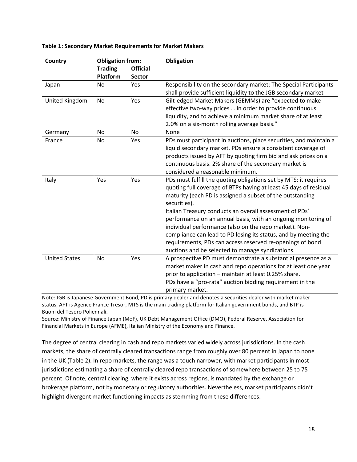| <b>Country</b>       | <b>Obligation from:</b><br><b>Trading</b><br>Platform | <b>Official</b><br><b>Sector</b> | <b>Obligation</b>                                                                                                                                                                                                                                                                                                                                                                                                                                                                                                                                                                            |  |  |
|----------------------|-------------------------------------------------------|----------------------------------|----------------------------------------------------------------------------------------------------------------------------------------------------------------------------------------------------------------------------------------------------------------------------------------------------------------------------------------------------------------------------------------------------------------------------------------------------------------------------------------------------------------------------------------------------------------------------------------------|--|--|
| Japan                | <b>No</b>                                             | Yes                              | Responsibility on the secondary market: The Special Participants<br>shall provide sufficient liquidity to the JGB secondary market                                                                                                                                                                                                                                                                                                                                                                                                                                                           |  |  |
| United Kingdom       | No                                                    | Yes                              | Gilt-edged Market Makers (GEMMs) are "expected to make<br>effective two-way prices  in order to provide continuous<br>liquidity, and to achieve a minimum market share of at least<br>2.0% on a six-month rolling average basis."                                                                                                                                                                                                                                                                                                                                                            |  |  |
| Germany              | No                                                    | No                               | None                                                                                                                                                                                                                                                                                                                                                                                                                                                                                                                                                                                         |  |  |
| France               | No                                                    | Yes                              | PDs must participant in auctions, place securities, and maintain a<br>liquid secondary market. PDs ensure a consistent coverage of<br>products issued by AFT by quoting firm bid and ask prices on a<br>continuous basis. 2% share of the secondary market is<br>considered a reasonable minimum.                                                                                                                                                                                                                                                                                            |  |  |
| Italy                | Yes                                                   | Yes                              | PDs must fulfill the quoting obligations set by MTS: it requires<br>quoting full coverage of BTPs having at least 45 days of residual<br>maturity (each PD is assigned a subset of the outstanding<br>securities).<br>Italian Treasury conducts an overall assessment of PDs'<br>performance on an annual basis, with an ongoing monitoring of<br>individual performance (also on the repo market). Non-<br>compliance can lead to PD losing its status, and by meeting the<br>requirements, PDs can access reserved re-openings of bond<br>auctions and be selected to manage syndications. |  |  |
| <b>United States</b> | <b>No</b>                                             | Yes                              | A prospective PD must demonstrate a substantial presence as a<br>market maker in cash and repo operations for at least one year<br>prior to application - maintain at least 0.25% share.<br>PDs have a "pro-rata" auction bidding requirement in the<br>primary market.                                                                                                                                                                                                                                                                                                                      |  |  |

### **Table 1: Secondary Market Requirements for Market Makers**

Note: JGB is Japanese Government Bond, PD is primary dealer and denotes a securities dealer with market maker status, AFT is Agence France Trésor, MTS is the main trading platform for Italian government bonds, and BTP is Buoni del Tesoro Poliennali.

Source: Ministry of Finance Japan (MoF), UK Debt Management Office (DMO), Federal Reserve, Association for Financial Markets in Europe (AFME), Italian Ministry of the Economy and Finance.

The degree of central clearing in cash and repo markets varied widely across jurisdictions. In the cash markets, the share of centrally cleared transactions range from roughly over 80 percent in Japan to none in the UK (Table 2). In repo markets, the range was a touch narrower, with market participants in most jurisdictions estimating a share of centrally cleared repo transactions of somewhere between 25 to 75 percent. Of note, central clearing, where it exists across regions, is mandated by the exchange or brokerage platform, not by monetary or regulatory authorities. Nevertheless, market participants didn't highlight divergent market functioning impacts as stemming from these differences.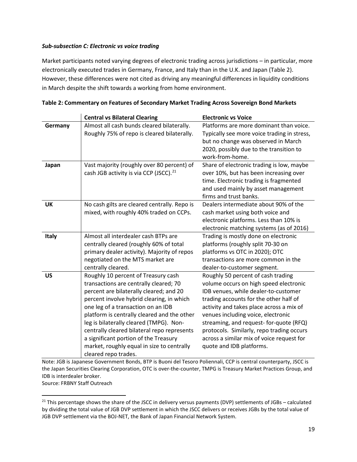## *Sub-subsection C: Electronic vs voice trading*

Market participants noted varying degrees of electronic trading across jurisdictions – in particular, more electronically executed trades in Germany, France, and Italy than in the U.K. and Japan (Table 2). However, these differences were not cited as driving any meaningful differences in liquidity conditions in March despite the shift towards a working from home environment.

|              | <b>Central vs Bilateral Clearing</b>                                                                                                                                                                                                                                                                                                                                                                                                                                | <b>Electronic vs Voice</b>                                                                                                                                                                                                                                                                                                                                                                                        |  |  |
|--------------|---------------------------------------------------------------------------------------------------------------------------------------------------------------------------------------------------------------------------------------------------------------------------------------------------------------------------------------------------------------------------------------------------------------------------------------------------------------------|-------------------------------------------------------------------------------------------------------------------------------------------------------------------------------------------------------------------------------------------------------------------------------------------------------------------------------------------------------------------------------------------------------------------|--|--|
| Germany      | Almost all cash bunds cleared bilaterally.<br>Roughly 75% of repo is cleared bilaterally.                                                                                                                                                                                                                                                                                                                                                                           | Platforms are more dominant than voice.<br>Typically see more voice trading in stress,<br>but no change was observed in March<br>2020, possibly due to the transition to<br>work-from-home.                                                                                                                                                                                                                       |  |  |
| Japan        | Vast majority (roughly over 80 percent) of<br>cash JGB activity is via CCP (JSCC). <sup>21</sup>                                                                                                                                                                                                                                                                                                                                                                    | Share of electronic trading is low, maybe<br>over 10%, but has been increasing over<br>time. Electronic trading is fragmented<br>and used mainly by asset management<br>firms and trust banks.                                                                                                                                                                                                                    |  |  |
| <b>UK</b>    | No cash gilts are cleared centrally. Repo is<br>mixed, with roughly 40% traded on CCPs.                                                                                                                                                                                                                                                                                                                                                                             | Dealers intermediate about 90% of the<br>cash market using both voice and<br>electronic platforms. Less than 10% is<br>electronic matching systems (as of 2016)                                                                                                                                                                                                                                                   |  |  |
| <b>Italy</b> | Almost all interdealer cash BTPs are<br>centrally cleared (roughly 60% of total<br>primary dealer activity). Majority of repos<br>negotiated on the MTS market are<br>centrally cleared.                                                                                                                                                                                                                                                                            | Trading is mostly done on electronic<br>platforms (roughly split 70-30 on<br>platforms vs OTC in 2020); OTC<br>transactions are more common in the<br>dealer-to-customer segment.                                                                                                                                                                                                                                 |  |  |
| <b>US</b>    | Roughly 10 percent of Treasury cash<br>transactions are centrally cleared; 70<br>percent are bilaterally cleared; and 20<br>percent involve hybrid clearing, in which<br>one leg of a transaction on an IDB<br>platform is centrally cleared and the other<br>leg is bilaterally cleared (TMPG). Non-<br>centrally cleared bilateral repo represents<br>a significant portion of the Treasury<br>market, roughly equal in size to centrally<br>cleared repo trades. | Roughly 50 percent of cash trading<br>volume occurs on high speed electronic<br>IDB venues, while dealer-to-customer<br>trading accounts for the other half of<br>activity and takes place across a mix of<br>venues including voice, electronic<br>streaming, and request- for-quote (RFQ)<br>protocols. Similarly, repo trading occurs<br>across a similar mix of voice request for<br>quote and IDB platforms. |  |  |

|  |  | Table 2: Commentary on Features of Secondary Market Trading Across Sovereign Bond Markets |  |
|--|--|-------------------------------------------------------------------------------------------|--|
|  |  |                                                                                           |  |

Note: JGB is Japanese Government Bonds, BTP is Buoni del Tesoro Poliennali, CCP is central counterparty, JSCC is the Japan Securities Clearing Corporation, OTC is over-the-counter, TMPG is Treasury Market Practices Group, and IDB is interdealer broker.

Source: FRBNY Staff Outreach

<sup>&</sup>lt;sup>21</sup> This percentage shows the share of the JSCC in delivery versus payments (DVP) settlements of JGBs - calculated by dividing the total value of JGB DVP settlement in which the JSCC delivers or receives JGBs by the total value of JGB DVP settlement via the BOJ-NET, the Bank of Japan Financial Network System.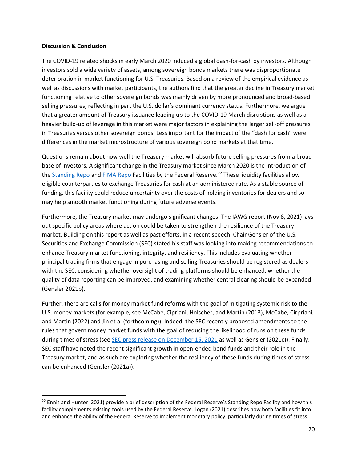#### **Discussion & Conclusion**

The COVID-19 related shocks in early March 2020 induced a global dash-for-cash by investors. Although investors sold a wide variety of assets, among sovereign bonds markets there was disproportionate deterioration in market functioning for U.S. Treasuries. Based on a review of the empirical evidence as well as discussions with market participants, the authors find that the greater decline in Treasury market functioning relative to other sovereign bonds was mainly driven by more pronounced and broad-based selling pressures, reflecting in part the U.S. dollar's dominant currency status. Furthermore, we argue that a greater amount of Treasury issuance leading up to the COVID-19 March disruptions as well as a heavier build-up of leverage in this market were major factors in explaining the larger sell-off pressures in Treasuries versus other sovereign bonds. Less important for the impact of the "dash for cash" were differences in the market microstructure of various sovereign bond markets at that time.

Questions remain about how well the Treasury market will absorb future selling pressures from a broad base of investors. A significant change in the Treasury market since March 2020 is the introduction of the Standing Repo and FIMA Repo Facilities by the Federal Reserve.<sup>22</sup> These liquidity facilities allow eligible counterparties to exchange Treasuries for cash at an administered rate. As a stable source of funding, this facility could reduce uncertainty over the costs of holding inventories for dealers and so may help smooth market functioning during future adverse events.

Furthermore, the Treasury market may undergo significant changes. The IAWG report (Nov 8, 2021) lays out specific policy areas where action could be taken to strengthen the resilience of the Treasury market. Building on this report as well as past efforts, in a recent speech, Chair Gensler of the U.S. Securities and Exchange Commission (SEC) stated his staff was looking into making recommendations to enhance Treasury market functioning, integrity, and resiliency. This includes evaluating whether principal trading firms that engage in purchasing and selling Treasuries should be registered as dealers with the SEC, considering whether oversight of trading platforms should be enhanced, whether the quality of data reporting can be improved, and examining whether central clearing should be expanded (Gensler 2021b).

Further, there are calls for money market fund reforms with the goal of mitigating systemic risk to the U.S. money markets (for example, see McCabe, Cipriani, Holscher, and Martin (2013), McCabe, Cirpriani, and Martin (2022) and Jin et al (forthcoming)). Indeed, the SEC recently proposed amendments to the rules that govern money market funds with the goal of reducing the likelihood of runs on these funds during times of stress (see SEC press release on December 15, 2021 as well as Gensler (2021c)). Finally, SEC staff have noted the recent significant growth in open-ended bond funds and their role in the Treasury market, and as such are exploring whether the resiliency of these funds during times of stress can be enhanced (Gensler (2021a)).

 $22$  Ennis and Hunter (2021) provide a brief description of the Federal Reserve's Standing Repo Facility and how this facility complements existing tools used by the Federal Reserve. Logan (2021) describes how both facilities fit into and enhance the ability of the Federal Reserve to implement monetary policy, particularly during times of stress.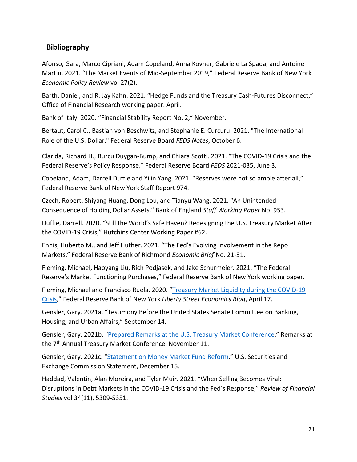# **Bibliography**

Afonso, Gara, Marco Cipriani, Adam Copeland, Anna Kovner, Gabriele La Spada, and Antoine Martin. 2021. "The Market Events of Mid-September 2019," Federal Reserve Bank of New York *Economic Policy Review* vol 27(2).

Barth, Daniel, and R. Jay Kahn. 2021. "Hedge Funds and the Treasury Cash-Futures Disconnect," Office of Financial Research working paper. April.

Bank of Italy. 2020. "Financial Stability Report No. 2," November.

Bertaut, Carol C., Bastian von Beschwitz, and Stephanie E. Curcuru. 2021. "The International Role of the U.S. Dollar," Federal Reserve Board *FEDS Notes*, October 6.

Clarida, Richard H., Burcu Duygan-Bump, and Chiara Scotti. 2021. "The COVID-19 Crisis and the Federal Reserve's Policy Response," Federal Reserve Board *FEDS* 2021-035, June 3.

Copeland, Adam, Darrell Duffie and Yilin Yang. 2021. "Reserves were not so ample after all," Federal Reserve Bank of New York Staff Report 974.

Czech, Robert, Shiyang Huang, Dong Lou, and Tianyu Wang. 2021. "An Unintended Consequence of Holding Dollar Assets," Bank of England *Staff Working Paper* No. 953.

Duffie, Darrell. 2020. "Still the World's Safe Haven? Redesigning the U.S. Treasury Market After the COVID-19 Crisis," Hutchins Center Working Paper #62.

Ennis, Huberto M., and Jeff Huther. 2021. "The Fed's Evolving Involvement in the Repo Markets," Federal Reserve Bank of Richmond *Economic Brief* No. 21-31.

Fleming, Michael, Haoyang Liu, Rich Podjasek, and Jake Schurmeier. 2021. "The Federal Reserve's Market Functioning Purchases," Federal Reserve Bank of New York working paper.

Fleming, Michael and Francisco Ruela. 2020. "Treasury Market Liquidity during the COVID-19 Crisis," Federal Reserve Bank of New York *Liberty Street Economics Blog*, April 17.

Gensler, Gary. 2021a. "Testimony Before the United States Senate Committee on Banking, Housing, and Urban Affairs," September 14.

Gensler, Gary. 2021b. "Prepared Remarks at the U.S. Treasury Market Conference," Remarks at the 7<sup>th</sup> Annual Treasury Market Conference. November 11.

Gensler, Gary. 2021c. "Statement on Money Market Fund Reform," U.S. Securities and Exchange Commission Statement, December 15.

Haddad, Valentin, Alan Moreira, and Tyler Muir. 2021. "When Selling Becomes Viral: Disruptions in Debt Markets in the COVID-19 Crisis and the Fed's Response," *Review of Financial Studies* vol 34(11), 5309-5351.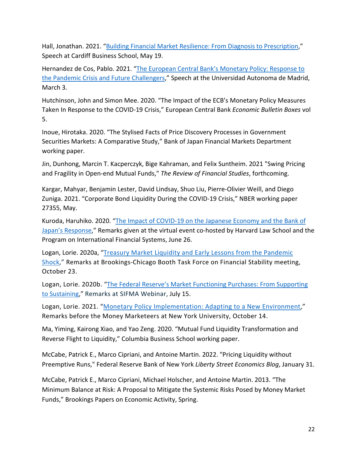Hall, Jonathan. 2021. "Building Financial Market Resilience: From Diagnosis to Prescription," Speech at Cardiff Business School, May 19.

Hernandez de Cos, Pablo. 2021. "The European Central Bank's Monetary Policy: Response to the Pandemic Crisis and Future Challengers," Speech at the Universidad Autonoma de Madrid, March 3.

Hutchinson, John and Simon Mee. 2020. "The Impact of the ECB's Monetary Policy Measures Taken In Response to the COVID-19 Crisis," European Central Bank *Economic Bulletin Boxes* vol 5.

Inoue, Hirotaka. 2020. "The Stylised Facts of Price Discovery Processes in Government Securities Markets: A Comparative Study," Bank of Japan Financial Markets Department working paper.

Jin, Dunhong, Marcin T. Kacperczyk, Bige Kahraman, and Felix Suntheim. 2021 "Swing Pricing and Fragility in Open-end Mutual Funds," *The Review of Financial Studies*, forthcoming.

Kargar, Mahyar, Benjamin Lester, David Lindsay, Shuo Liu, Pierre-Olivier Weill, and Diego Zuniga. 2021. "Corporate Bond Liquidity During the COVID-19 Crisis," NBER working paper 27355, May.

Kuroda, Haruhiko. 2020. "The Impact of COVID-19 on the Japanese Economy and the Bank of Japan's Response," Remarks given at the virtual event co-hosted by Harvard Law School and the Program on International Financial Systems, June 26.

Logan, Lorie. 2020a, "Treasury Market Liquidity and Early Lessons from the Pandemic Shock," Remarks at Brookings-Chicago Booth Task Force on Financial Stability meeting, October 23.

Logan, Lorie. 2020b. "The Federal Reserve's Market Functioning Purchases: From Supporting to Sustaining," Remarks at SIFMA Webinar, July 15.

Logan, Lorie. 2021. "Monetary Policy Implementation: Adapting to a New Environment," Remarks before the Money Marketeers at New York University, October 14.

Ma, Yiming, Kairong Xiao, and Yao Zeng. 2020. "Mutual Fund Liquidity Transformation and Reverse Flight to Liquidity," Columbia Business School working paper.

McCabe, Patrick E., Marco Cipriani, and Antoine Martin. 2022. "Pricing Liquidity without Preemptive Runs," Federal Reserve Bank of New York *Liberty Street Economics Blog*, January 31.

McCabe, Patrick E., Marco Cipriani, Michael Holscher, and Antoine Martin. 2013. "The Minimum Balance at Risk: A Proposal to Mitigate the Systemic Risks Posed by Money Market Funds," Brookings Papers on Economic Activity, Spring.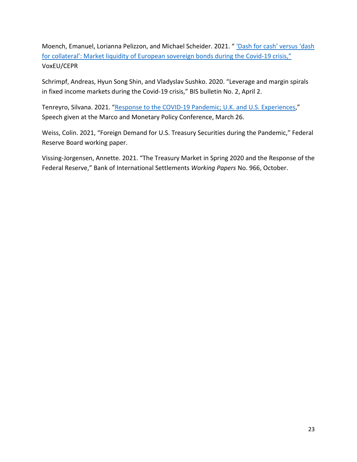Moench, Emanuel, Lorianna Pelizzon, and Michael Scheider. 2021. " 'Dash for cash' versus 'dash for collateral': Market liquidity of European sovereign bonds during the Covid-19 crisis," VoxEU/CEPR

Schrimpf, Andreas, Hyun Song Shin, and Vladyslav Sushko. 2020. "Leverage and margin spirals in fixed income markets during the Covid-19 crisis," BIS bulletin No. 2, April 2.

Tenreyro, Silvana. 2021. "Response to the COVID-19 Pandemic; U.K. and U.S. Experiences," Speech given at the Marco and Monetary Policy Conference, March 26.

Weiss, Colin. 2021, "Foreign Demand for U.S. Treasury Securities during the Pandemic," Federal Reserve Board working paper.

Vissing-Jorgensen, Annette. 2021. "The Treasury Market in Spring 2020 and the Response of the Federal Reserve," Bank of International Settlements *Working Papers* No. 966, October.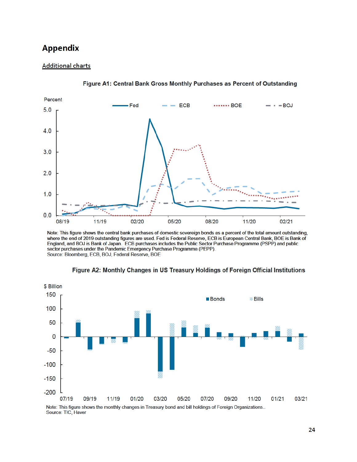# **Appendix**

## **Additional charts**





Note: This figure shows the central bank purchases of domestic sovereign bonds as a percent of the total amount outstanding, where the end of 2019 outstanding figures are used. Fed is Federal Reserve, ECB is European Central Bank, BOE is Bank of England, and BOJ is Bank of Japan. ECB purchases includes the Public Sector Purchase Programme (PSPP) and public sector purchases under the Pandemic Emergency Purchase Programme (PEPP). Source: Bloomberg, ECB, BOJ, Federal Reserve, BOE



Figure A2: Monthly Changes in US Treasury Holdings of Foreign Official Institutions

Note: This figure shows the monthly changes in Treasury bond and bill holdings of Foreign Organizations.. Source: TIC, Haver